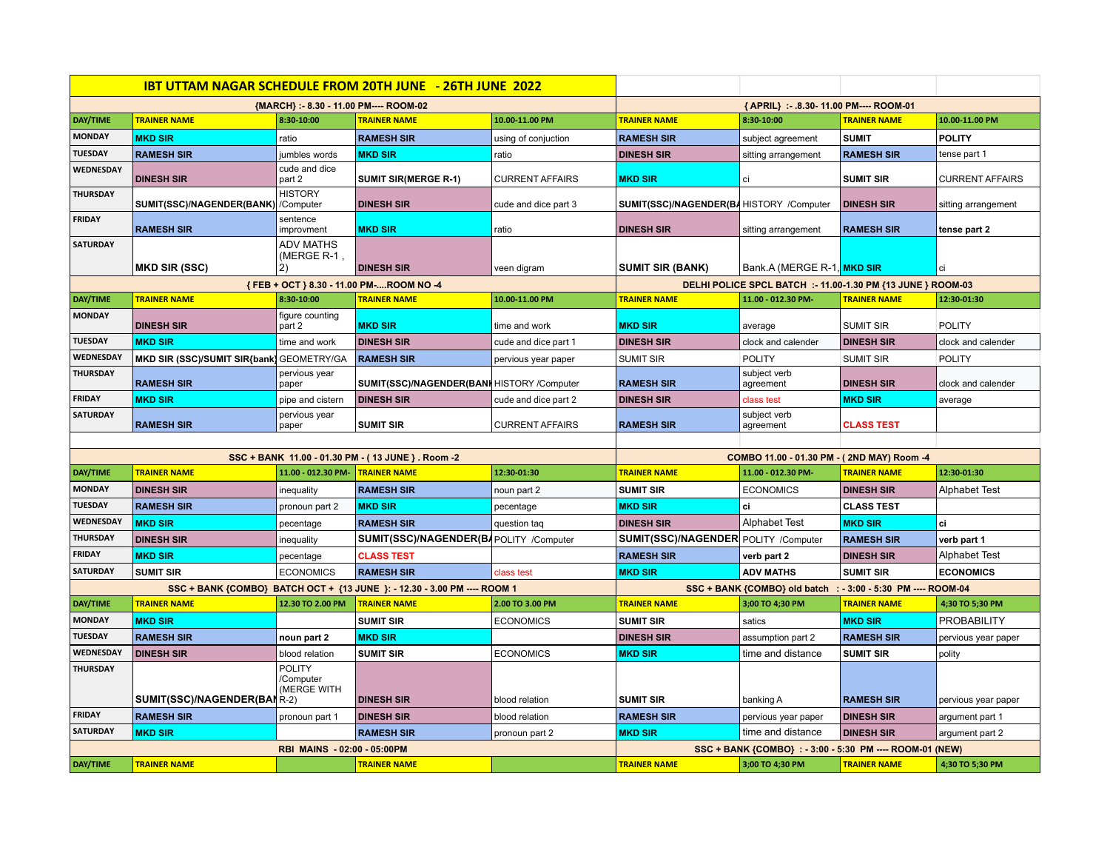|                             |                                                   |                                           | <b>IBT UTTAM NAGAR SCHEDULE FROM 20TH JUNE - 26TH JUNE 2022</b>          |                                                              |                                                          |                                            |                     |                        |  |
|-----------------------------|---------------------------------------------------|-------------------------------------------|--------------------------------------------------------------------------|--------------------------------------------------------------|----------------------------------------------------------|--------------------------------------------|---------------------|------------------------|--|
|                             | {MARCH} : - 8.30 - 11.00 PM ---- ROOM-02          |                                           |                                                                          |                                                              | {APRIL} :- .8.30- 11.00 PM---- ROOM-01                   |                                            |                     |                        |  |
| <b>DAY/TIME</b>             | <b>TRAINER NAME</b>                               | 8:30-10:00                                | <b>TRAINER NAME</b>                                                      | 10.00-11.00 PM                                               | <b>TRAINER NAME</b>                                      | 8:30-10:00                                 | <b>TRAINER NAME</b> | 10.00-11.00 PM         |  |
| <b>MONDAY</b>               | <b>MKD SIR</b>                                    | ratio                                     | <b>RAMESH SIR</b>                                                        | using of conjuction                                          | <b>RAMESH SIR</b>                                        | subject agreement                          | <b>SUMIT</b>        | <b>POLITY</b>          |  |
| <b>TUESDAY</b>              | <b>RAMESH SIR</b>                                 | jumbles words                             | <b>MKD SIR</b>                                                           | ratio                                                        | <b>DINESH SIR</b>                                        | sitting arrangement                        | <b>RAMESH SIR</b>   | tense part 1           |  |
| <b>WEDNESDAY</b>            | <b>DINESH SIR</b>                                 | cude and dice<br>part 2                   | <b>SUMIT SIR(MERGE R-1)</b>                                              | <b>CURRENT AFFAIRS</b>                                       | <b>MKD SIR</b>                                           | ci                                         | <b>SUMIT SIR</b>    | <b>CURRENT AFFAIRS</b> |  |
| <b>THURSDAY</b>             | SUMIT(SSC)/NAGENDER(BANK) /Computer               | <b>HISTORY</b>                            | <b>DINESH SIR</b>                                                        | cude and dice part 3                                         | SUMIT(SSC)/NAGENDER(BAHISTORY /Computer                  |                                            | <b>DINESH SIR</b>   | sitting arrangement    |  |
| <b>FRIDAY</b>               | <b>RAMESH SIR</b>                                 | sentence<br>improvment                    | <b>MKD SIR</b>                                                           | ratio                                                        | <b>DINESH SIR</b>                                        | sitting arrangement                        | <b>RAMESH SIR</b>   | tense part 2           |  |
| <b>SATURDAY</b>             | <b>MKD SIR (SSC)</b>                              | <b>ADV MATHS</b><br>(MERGE R-1,<br>2)     | <b>DINESH SIR</b>                                                        | veen digram                                                  | <b>SUMIT SIR (BANK)</b>                                  | Bank.A (MERGE R-1, MKD SIR                 |                     | ci                     |  |
|                             |                                                   |                                           | {FEB + OCT } 8.30 - 11.00 PM-ROOM NO -4                                  | DELHI POLICE SPCL BATCH :- 11.00-1.30 PM {13 JUNE } ROOM-03  |                                                          |                                            |                     |                        |  |
| <b>DAY/TIME</b>             | <b>TRAINER NAME</b>                               | 8:30-10:00                                | <b>TRAINER NAME</b>                                                      | 10.00-11.00 PM                                               | <b>TRAINER NAME</b>                                      | 11.00 - 012.30 PM-                         | <b>TRAINER NAME</b> | 12:30-01:30            |  |
| <b>MONDAY</b>               | <b>DINESH SIR</b>                                 | figure counting<br>part 2                 | <b>MKD SIR</b>                                                           | time and work                                                | <b>MKD SIR</b>                                           | average                                    | <b>SUMIT SIR</b>    | <b>POLITY</b>          |  |
| <b>TUESDAY</b>              | <b>MKD SIR</b>                                    | time and work                             | <b>DINESH SIR</b>                                                        | cude and dice part 1                                         | <b>DINESH SIR</b>                                        | clock and calender                         | <b>DINESH SIR</b>   | clock and calender     |  |
| WEDNESDAY                   | MKD SIR (SSC)/SUMIT SIR{bank] GEOMETRY/GA         |                                           | <b>RAMESH SIR</b>                                                        | pervious year paper                                          | <b>SUMIT SIR</b>                                         | <b>POLITY</b>                              | <b>SUMIT SIR</b>    | <b>POLITY</b>          |  |
| <b>THURSDAY</b>             | <b>RAMESH SIR</b>                                 | pervious year<br>paper                    | SUMIT(SSC)/NAGENDER(BANI HISTORY /Computer                               |                                                              | <b>RAMESH SIR</b>                                        | subject verb<br>agreement                  | <b>DINESH SIR</b>   | clock and calender     |  |
| <b>FRIDAY</b>               | <b>MKD SIR</b>                                    | pipe and cistern                          | <b>DINESH SIR</b>                                                        | cude and dice part 2                                         | <b>DINESH SIR</b>                                        | class test                                 | <b>MKD SIR</b>      | average                |  |
| <b>SATURDAY</b>             | <b>RAMESH SIR</b>                                 | pervious year<br>paper                    | <b>SUMIT SIR</b>                                                         | <b>CURRENT AFFAIRS</b>                                       | <b>RAMESH SIR</b>                                        | subject verb<br>agreement                  | <b>CLASS TEST</b>   |                        |  |
|                             |                                                   |                                           |                                                                          |                                                              |                                                          |                                            |                     |                        |  |
|                             | SSC + BANK 11.00 - 01.30 PM - (13 JUNE }. Room -2 |                                           |                                                                          |                                                              |                                                          | COMBO 11.00 - 01.30 PM - (2ND MAY) Room -4 |                     |                        |  |
| <b>DAY/TIME</b>             | <b>TRAINER NAME</b>                               | 11.00 - 012.30 PM-                        | <b>TRAINER NAME</b>                                                      | 12:30-01:30                                                  | <b>TRAINER NAME</b>                                      | 11.00 - 012.30 PM-                         | <b>TRAINER NAME</b> | 12:30-01:30            |  |
| <b>MONDAY</b>               | <b>DINESH SIR</b>                                 | inequality                                | <b>RAMESH SIR</b>                                                        | noun part 2                                                  | <b>SUMIT SIR</b>                                         | <b>ECONOMICS</b>                           | <b>DINESH SIR</b>   | Alphabet Test          |  |
| <b>TUESDAY</b>              | <b>RAMESH SIR</b>                                 | pronoun part 2                            | <b>MKD SIR</b>                                                           | pecentage                                                    | <b>MKD SIR</b>                                           | сi                                         | <b>CLASS TEST</b>   |                        |  |
| WEDNESDAY                   | <b>MKD SIR</b>                                    | pecentage                                 | <b>RAMESH SIR</b>                                                        | question taq                                                 | <b>DINESH SIR</b>                                        | <b>Alphabet Test</b>                       | <b>MKD SIR</b>      | ci                     |  |
| <b>THURSDAY</b>             | <b>DINESH SIR</b>                                 | inequality                                | SUMIT(SSC)/NAGENDER(BAPOLITY /Computer                                   |                                                              | SUMIT(SSC)/NAGENDER POLITY /Computer                     |                                            | <b>RAMESH SIR</b>   | verb part 1            |  |
| <b>FRIDAY</b>               | <b>MKD SIR</b>                                    | pecentage                                 | <b>CLASS TEST</b>                                                        |                                                              | <b>RAMESH SIR</b>                                        | verb part 2                                | <b>DINESH SIR</b>   | Alphabet Test          |  |
| <b>SATURDAY</b>             | <b>SUMIT SIR</b>                                  | <b>ECONOMICS</b>                          | <b>RAMESH SIR</b>                                                        | class test                                                   | <b>MKD SIR</b>                                           | <b>ADV MATHS</b>                           | <b>SUMIT SIR</b>    | <b>ECONOMICS</b>       |  |
|                             |                                                   |                                           | SSC + BANK {COMBO} BATCH OCT + {13 JUNE }: - 12.30 - 3.00 PM ---- ROOM 1 | SSC + BANK {COMBO} old batch : - 3:00 - 5:30 PM ---- ROOM-04 |                                                          |                                            |                     |                        |  |
| <b>DAY/TIME</b>             | <b>TRAINER NAME</b>                               | 12.30 TO 2.00 PM                          | <b>TRAINER NAME</b>                                                      | 2.00 TO 3.00 PM                                              | <b>TRAINER NAME</b>                                      | 3;00 TO 4;30 PM                            | <b>TRAINER NAME</b> | 4;30 TO 5;30 PM        |  |
| <b>MONDAY</b>               | <b>MKD SIR</b>                                    |                                           | <b>SUMIT SIR</b>                                                         | <b>ECONOMICS</b>                                             | <b>SUMIT SIR</b>                                         | satics                                     | <b>MKD SIR</b>      | PROBABILITY            |  |
| <b>TUESDAY</b>              | <b>RAMESH SIR</b>                                 | noun part 2                               | <b>MKD SIR</b>                                                           |                                                              | <b>DINESH SIR</b>                                        | assumption part 2                          | <b>RAMESH SIR</b>   | pervious year paper    |  |
| WEDNESDAY                   | <b>DINESH SIR</b>                                 | blood relation                            | <b>SUMIT SIR</b>                                                         | <b>ECONOMICS</b>                                             | <b>MKD SIR</b>                                           | time and distance                          | <b>SUMIT SIR</b>    | polity                 |  |
| <b>THURSDAY</b>             | <b>SUMIT(SSC)/NAGENDER(BANR-2)</b>                | <b>POLITY</b><br>/Computer<br>(MERGE WITH | <b>DINESH SIR</b>                                                        | blood relation                                               | <b>SUMIT SIR</b>                                         | banking A                                  | <b>RAMESH SIR</b>   | pervious year paper    |  |
| <b>FRIDAY</b>               | <b>RAMESH SIR</b>                                 | pronoun part 1                            | <b>DINESH SIR</b>                                                        | blood relation                                               | <b>RAMESH SIR</b>                                        | pervious year paper                        | <b>DINESH SIR</b>   | argument part 1        |  |
| <b>SATURDAY</b>             | <b>MKD SIR</b>                                    |                                           | <b>RAMESH SIR</b>                                                        | pronoun part 2                                               | <b>MKD SIR</b>                                           | time and distance                          | <b>DINESH SIR</b>   | argument part 2        |  |
| RBI MAINS - 02:00 - 05:00PM |                                                   |                                           |                                                                          |                                                              | SSC + BANK {COMBO} : - 3:00 - 5:30 PM ---- ROOM-01 (NEW) |                                            |                     |                        |  |
| DAY/TIME                    | <b>TRAINER NAME</b>                               |                                           | <b>TRAINER NAME</b>                                                      |                                                              | <b>TRAINER NAME</b>                                      | 3;00 TO 4;30 PM                            | <b>TRAINER NAME</b> | 4;30 TO 5;30 PM        |  |